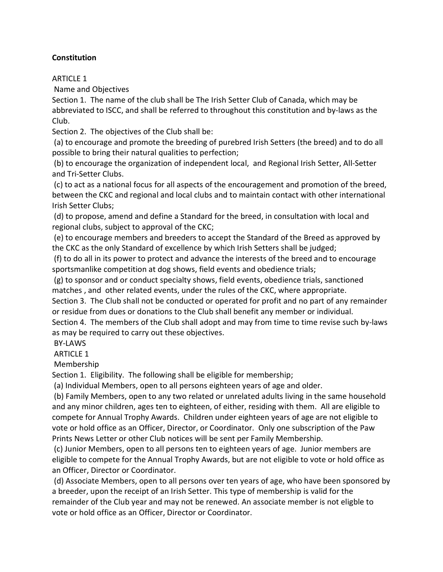# **Constitution**

### ARTICLE 1

Name and Objectives

Section 1. The name of the club shall be The Irish Setter Club of Canada, which may be abbreviated to ISCC, and shall be referred to throughout this constitution and by-laws as the Club.

Section 2. The objectives of the Club shall be:

(a) to encourage and promote the breeding of purebred Irish Setters (the breed) and to do all possible to bring their natural qualities to perfection;

(b) to encourage the organization of independent local, and Regional Irish Setter, All-Setter and Tri-Setter Clubs.

(c) to act as a national focus for all aspects of the encouragement and promotion of the breed, between the CKC and regional and local clubs and to maintain contact with other international Irish Setter Clubs;

(d) to propose, amend and define a Standard for the breed, in consultation with local and regional clubs, subject to approval of the CKC;

(e) to encourage members and breeders to accept the Standard of the Breed as approved by the CKC as the only Standard of excellence by which Irish Setters shall be judged;

(f) to do all in its power to protect and advance the interests of the breed and to encourage sportsmanlike competition at dog shows, field events and obedience trials;

(g) to sponsor and or conduct specialty shows, field events, obedience trials, sanctioned matches , and other related events, under the rules of the CKC, where appropriate.

Section 3. The Club shall not be conducted or operated for profit and no part of any remainder or residue from dues or donations to the Club shall benefit any member or individual.

Section 4. The members of the Club shall adopt and may from time to time revise such by-laws as may be required to carry out these objectives.

# BY-LAWS

ARTICLE 1

Membership

Section 1. Eligibility. The following shall be eligible for membership;

(a) Individual Members, open to all persons eighteen years of age and older.

(b) Family Members, open to any two related or unrelated adults living in the same household and any minor children, ages ten to eighteen, of either, residing with them. All are eligible to compete for Annual Trophy Awards. Children under eighteen years of age are not eligible to vote or hold office as an Officer, Director, or Coordinator. Only one subscription of the Paw Prints News Letter or other Club notices will be sent per Family Membership.

(c) Junior Members, open to all persons ten to eighteen years of age. Junior members are eligible to compete for the Annual Trophy Awards, but are not eligible to vote or hold office as an Officer, Director or Coordinator.

(d) Associate Members, open to all persons over ten years of age, who have been sponsored by a breeder, upon the receipt of an Irish Setter. This type of membership is valid for the remainder of the Club year and may not be renewed. An associate member is not eligble to vote or hold office as an Officer, Director or Coordinator.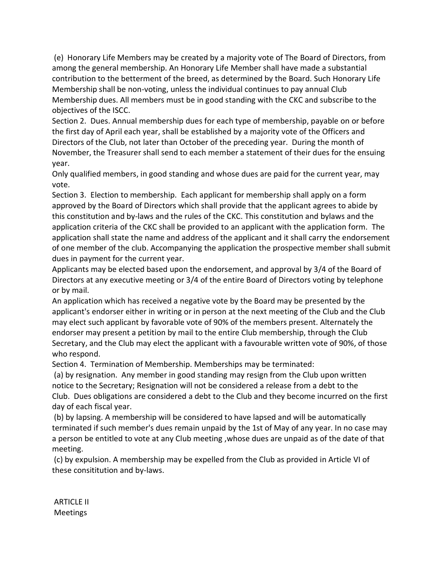(e) Honorary Life Members may be created by a majority vote of The Board of Directors, from among the general membership. An Honorary Life Member shall have made a substantial contribution to the betterment of the breed, as determined by the Board. Such Honorary Life Membership shall be non-voting, unless the individual continues to pay annual Club Membership dues. All members must be in good standing with the CKC and subscribe to the objectives of the ISCC.

Section 2. Dues. Annual membership dues for each type of membership, payable on or before the first day of April each year, shall be established by a majority vote of the Officers and Directors of the Club, not later than October of the preceding year. During the month of November, the Treasurer shall send to each member a statement of their dues for the ensuing year.

Only qualified members, in good standing and whose dues are paid for the current year, may vote.

Section 3. Election to membership. Each applicant for membership shall apply on a form approved by the Board of Directors which shall provide that the applicant agrees to abide by this constitution and by-laws and the rules of the CKC. This constitution and bylaws and the application criteria of the CKC shall be provided to an applicant with the application form. The application shall state the name and address of the applicant and it shall carry the endorsement of one member of the club. Accompanying the application the prospective member shall submit dues in payment for the current year.

Applicants may be elected based upon the endorsement, and approval by 3/4 of the Board of Directors at any executive meeting or 3/4 of the entire Board of Directors voting by telephone or by mail.

An application which has received a negative vote by the Board may be presented by the applicant's endorser either in writing or in person at the next meeting of the Club and the Club may elect such applicant by favorable vote of 90% of the members present. Alternately the endorser may present a petition by mail to the entire Club membership, through the Club Secretary, and the Club may elect the applicant with a favourable written vote of 90%, of those who respond.

Section 4. Termination of Membership. Memberships may be terminated:

(a) by resignation. Any member in good standing may resign from the Club upon written notice to the Secretary; Resignation will not be considered a release from a debt to the Club. Dues obligations are considered a debt to the Club and they become incurred on the first day of each fiscal year.

(b) by lapsing. A membership will be considered to have lapsed and will be automatically terminated if such member's dues remain unpaid by the 1st of May of any year. In no case may a person be entitled to vote at any Club meeting ,whose dues are unpaid as of the date of that meeting.

(c) by expulsion. A membership may be expelled from the Club as provided in Article VI of these consititution and by-laws.

ARTICLE II Meetings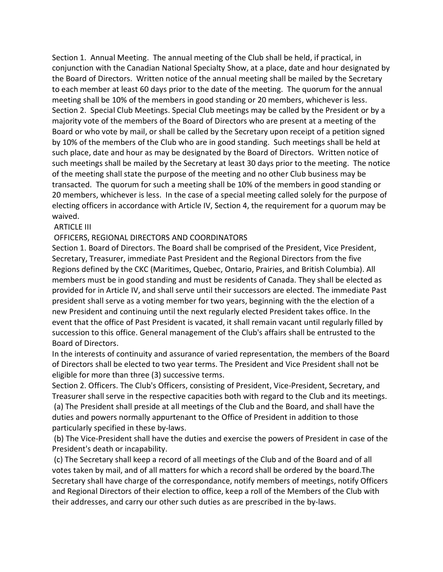Section 1. Annual Meeting. The annual meeting of the Club shall be held, if practical, in conjunction with the Canadian National Specialty Show, at a place, date and hour designated by the Board of Directors. Written notice of the annual meeting shall be mailed by the Secretary to each member at least 60 days prior to the date of the meeting. The quorum for the annual meeting shall be 10% of the members in good standing or 20 members, whichever is less. Section 2. Special Club Meetings. Special Club meetings may be called by the President or by a majority vote of the members of the Board of Directors who are present at a meeting of the Board or who vote by mail, or shall be called by the Secretary upon receipt of a petition signed by 10% of the members of the Club who are in good standing. Such meetings shall be held at such place, date and hour as may be designated by the Board of Directors. Written notice of such meetings shall be mailed by the Secretary at least 30 days prior to the meeting. The notice of the meeting shall state the purpose of the meeting and no other Club business may be transacted. The quorum for such a meeting shall be 10% of the members in good standing or 20 members, whichever is less. In the case of a special meeting called solely for the purpose of electing officers in accordance with Article IV, Section 4, the requirement for a quorum may be waived.

#### ARTICLE III

#### OFFICERS, REGIONAL DIRECTORS AND COORDINATORS

Section 1. Board of Directors. The Board shall be comprised of the President, Vice President, Secretary, Treasurer, immediate Past President and the Regional Directors from the five Regions defined by the CKC (Maritimes, Quebec, Ontario, Prairies, and British Columbia). All members must be in good standing and must be residents of Canada. They shall be elected as provided for in Article IV, and shall serve until their successors are elected. The immediate Past president shall serve as a voting member for two years, beginning with the the election of a new President and continuing until the next regularly elected President takes office. In the event that the office of Past President is vacated, it shall remain vacant until regularly filled by succession to this office. General management of the Club's affairs shall be entrusted to the Board of Directors.

In the interests of continuity and assurance of varied representation, the members of the Board of Directors shall be elected to two year terms. The President and Vice President shall not be eligible for more than three (3) successive terms.

Section 2. Officers. The Club's Officers, consisting of President, Vice-President, Secretary, and Treasurer shall serve in the respective capacities both with regard to the Club and its meetings.

(a) The President shall preside at all meetings of the Club and the Board, and shall have the duties and powers normally appurtenant to the Office of President in addition to those particularly specified in these by-laws.

(b) The Vice-President shall have the duties and exercise the powers of President in case of the President's death or incapability.

(c) The Secretary shall keep a record of all meetings of the Club and of the Board and of all votes taken by mail, and of all matters for which a record shall be ordered by the board.The Secretary shall have charge of the correspondance, notify members of meetings, notify Officers and Regional Directors of their election to office, keep a roll of the Members of the Club with their addresses, and carry our other such duties as are prescribed in the by-laws.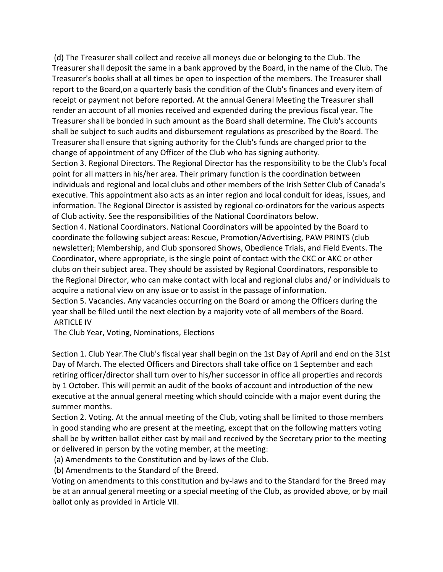(d) The Treasurer shall collect and receive all moneys due or belonging to the Club. The Treasurer shall deposit the same in a bank approved by the Board, in the name of the Club. The Treasurer's books shall at all times be open to inspection of the members. The Treasurer shall report to the Board,on a quarterly basis the condition of the Club's finances and every item of receipt or payment not before reported. At the annual General Meeting the Treasurer shall render an account of all monies received and expended during the previous fiscal year. The Treasurer shall be bonded in such amount as the Board shall determine. The Club's accounts shall be subject to such audits and disbursement regulations as prescribed by the Board. The Treasurer shall ensure that signing authority for the Club's funds are changed prior to the change of appointment of any Officer of the Club who has signing authority.

Section 3. Regional Directors. The Regional Director has the responsibility to be the Club's focal point for all matters in his/her area. Their primary function is the coordination between individuals and regional and local clubs and other members of the Irish Setter Club of Canada's executive. This appointment also acts as an inter region and local conduit for ideas, issues, and information. The Regional Director is assisted by regional co-ordinators for the various aspects of Club activity. See the responsibilities of the National Coordinators below.

Section 4. National Coordinators. National Coordinators will be appointed by the Board to coordinate the following subject areas: Rescue, Promotion/Advertising, PAW PRINTS (club newsletter); Membership, and Club sponsored Shows, Obedience Trials, and Field Events. The Coordinator, where appropriate, is the single point of contact with the CKC or AKC or other clubs on their subject area. They should be assisted by Regional Coordinators, responsible to the Regional Director, who can make contact with local and regional clubs and/ or individuals to acquire a national view on any issue or to assist in the passage of information. Section 5. Vacancies. Any vacancies occurring on the Board or among the Officers during the

year shall be filled until the next election by a majority vote of all members of the Board. ARTICLE IV

The Club Year, Voting, Nominations, Elections

Section 1. Club Year.The Club's fiscal year shall begin on the 1st Day of April and end on the 31st Day of March. The elected Officers and Directors shall take office on 1 September and each retiring officer/director shall turn over to his/her successor in office all properties and records by 1 October. This will permit an audit of the books of account and introduction of the new executive at the annual general meeting which should coincide with a major event during the summer months.

Section 2. Voting. At the annual meeting of the Club, voting shall be limited to those members in good standing who are present at the meeting, except that on the following matters voting shall be by written ballot either cast by mail and received by the Secretary prior to the meeting or delivered in person by the voting member, at the meeting:

(a) Amendments to the Constitution and by-laws of the Club.

(b) Amendments to the Standard of the Breed.

Voting on amendments to this constitution and by-laws and to the Standard for the Breed may be at an annual general meeting or a special meeting of the Club, as provided above, or by mail ballot only as provided in Article VII.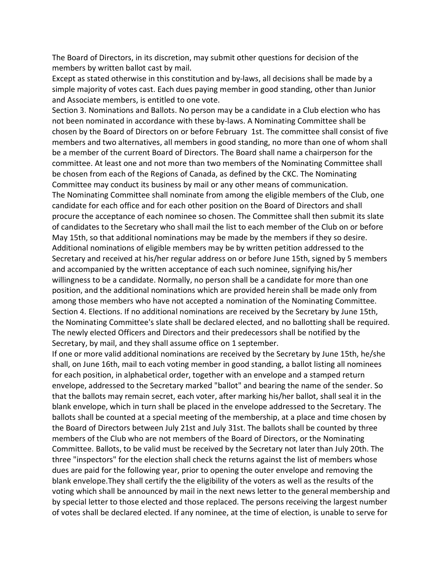The Board of Directors, in its discretion, may submit other questions for decision of the members by written ballot cast by mail.

Except as stated otherwise in this constitution and by-laws, all decisions shall be made by a simple majority of votes cast. Each dues paying member in good standing, other than Junior and Associate members, is entitled to one vote.

Section 3. Nominations and Ballots. No person may be a candidate in a Club election who has not been nominated in accordance with these by-laws. A Nominating Committee shall be chosen by the Board of Directors on or before February 1st. The committee shall consist of five members and two alternatives, all members in good standing, no more than one of whom shall be a member of the current Board of Directors. The Board shall name a chairperson for the committee. At least one and not more than two members of the Nominating Committee shall be chosen from each of the Regions of Canada, as defined by the CKC. The Nominating Committee may conduct its business by mail or any other means of communication. The Nominating Committee shall nominate from among the eligible members of the Club, one candidate for each office and for each other position on the Board of Directors and shall procure the acceptance of each nominee so chosen. The Committee shall then submit its slate of candidates to the Secretary who shall mail the list to each member of the Club on or before May 15th, so that additional nominations may be made by the members if they so desire. Additional nominations of eligible members may be by written petition addressed to the Secretary and received at his/her regular address on or before June 15th, signed by 5 members and accompanied by the written acceptance of each such nominee, signifying his/her willingness to be a candidate. Normally, no person shall be a candidate for more than one position, and the additional nominations which are provided herein shall be made only from among those members who have not accepted a nomination of the Nominating Committee. Section 4. Elections. If no additional nominations are received by the Secretary by June 15th, the Nominating Committee's slate shall be declared elected, and no ballotting shall be required. The newly elected Officers and Directors and their predecessors shall be notified by the Secretary, by mail, and they shall assume office on 1 september.

If one or more valid additional nominations are received by the Secretary by June 15th, he/she shall, on June 16th, mail to each voting member in good standing, a ballot listing all nominees for each position, in alphabetical order, together with an envelope and a stamped return envelope, addressed to the Secretary marked "ballot" and bearing the name of the sender. So that the ballots may remain secret, each voter, after marking his/her ballot, shall seal it in the blank envelope, which in turn shall be placed in the envelope addressed to the Secretary. The ballots shall be counted at a special meeting of the membership, at a place and time chosen by the Board of Directors between July 21st and July 31st. The ballots shall be counted by three members of the Club who are not members of the Board of Directors, or the Nominating Committee. Ballots, to be valid must be received by the Secretary not later than July 20th. The three "inspectors" for the election shall check the returns against the list of members whose dues are paid for the following year, prior to opening the outer envelope and removing the blank envelope.They shall certify the the eligibility of the voters as well as the results of the voting which shall be announced by mail in the next news letter to the general membership and by special letter to those elected and those replaced. The persons receiving the largest number of votes shall be declared elected. If any nominee, at the time of election, is unable to serve for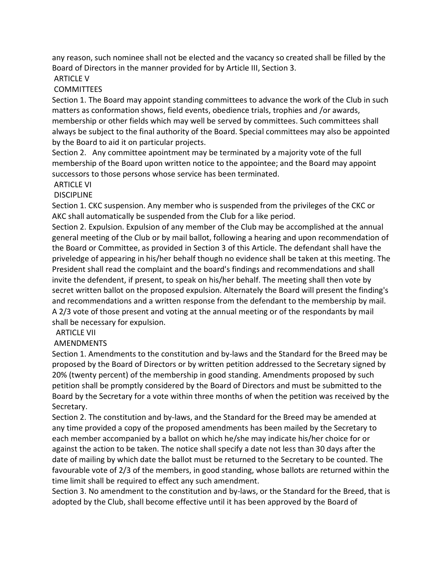any reason, such nominee shall not be elected and the vacancy so created shall be filled by the Board of Directors in the manner provided for by Article III, Section 3.

# **ARTICLE V**

### **COMMITTEES**

Section 1. The Board may appoint standing committees to advance the work of the Club in such matters as conformation shows, field events, obedience trials, trophies and /or awards, membership or other fields which may well be served by committees. Such committees shall always be subject to the final authority of the Board. Special committees may also be appointed by the Board to aid it on particular projects.

Section 2. Any committee apointment may be terminated by a majority vote of the full membership of the Board upon written notice to the appointee; and the Board may appoint successors to those persons whose service has been terminated.

#### ARTICLE VI

#### **DISCIPLINE**

Section 1. CKC suspension. Any member who is suspended from the privileges of the CKC or AKC shall automatically be suspended from the Club for a like period.

Section 2. Expulsion. Expulsion of any member of the Club may be accomplished at the annual general meeting of the Club or by mail ballot, following a hearing and upon recommendation of the Board or Committee, as provided in Section 3 of this Article. The defendant shall have the priveledge of appearing in his/her behalf though no evidence shall be taken at this meeting. The President shall read the complaint and the board's findings and recommendations and shall invite the defendent, if present, to speak on his/her behalf. The meeting shall then vote by secret written ballot on the proposed expulsion. Alternately the Board will present the finding's and recommendations and a written response from the defendant to the membership by mail. A 2/3 vote of those present and voting at the annual meeting or of the respondants by mail shall be necessary for expulsion.

# ARTICLE VII

# AMENDMENTS

Section 1. Amendments to the constitution and by-laws and the Standard for the Breed may be proposed by the Board of Directors or by written petition addressed to the Secretary signed by 20% (twenty percent) of the membership in good standing. Amendments proposed by such petition shall be promptly considered by the Board of Directors and must be submitted to the Board by the Secretary for a vote within three months of when the petition was received by the Secretary.

Section 2. The constitution and by-laws, and the Standard for the Breed may be amended at any time provided a copy of the proposed amendments has been mailed by the Secretary to each member accompanied by a ballot on which he/she may indicate his/her choice for or against the action to be taken. The notice shall specify a date not less than 30 days after the date of mailing by which date the ballot must be returned to the Secretary to be counted. The favourable vote of 2/3 of the members, in good standing, whose ballots are returned within the time limit shall be required to effect any such amendment.

Section 3. No amendment to the constitution and by-laws, or the Standard for the Breed, that is adopted by the Club, shall become effective until it has been approved by the Board of